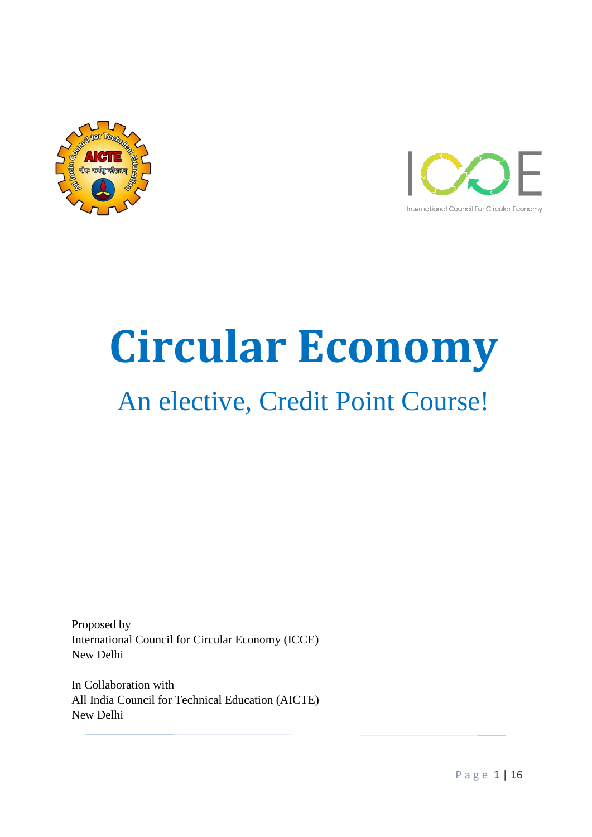



# **Circular Economy** An elective, Credit Point Course!

Proposed by International Council for Circular Economy (ICCE) New Delhi

In Collaboration with All India Council for Technical Education (AICTE) New Delhi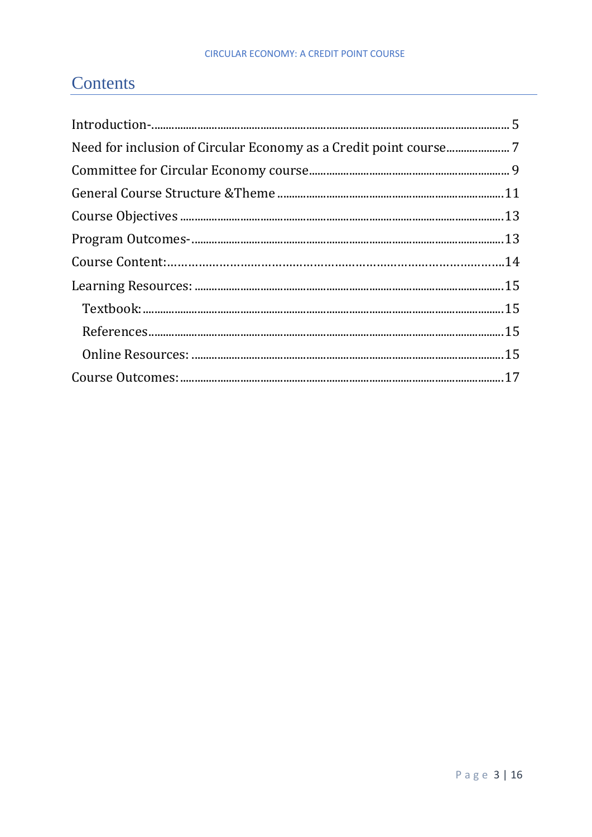# Contents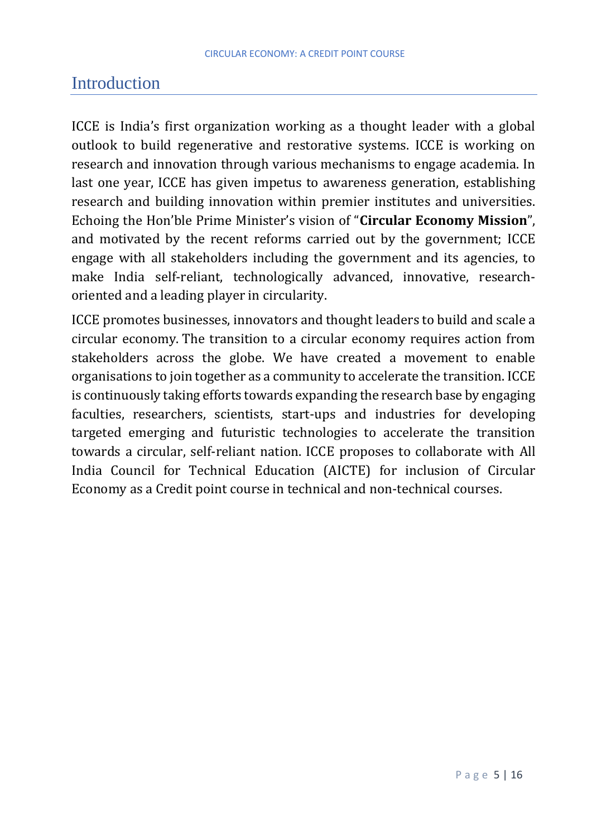### <span id="page-4-0"></span>Introduction

ICCE is India's first organization working as a thought leader with a global outlook to build regenerative and restorative systems. ICCE is working on research and innovation through various mechanisms to engage academia. In last one year, ICCE has given impetus to awareness generation, establishing research and building innovation within premier institutes and universities. Echoing the Hon'ble Prime Minister's vision of "**Circular Economy Mission**", and motivated by the recent reforms carried out by the government; ICCE engage with all stakeholders including the government and its agencies, to make India self-reliant, technologically advanced, innovative, researchoriented and a leading player in circularity.

ICCE promotes businesses, innovators and thought leaders to build and scale a circular economy. The transition to a circular economy requires action from stakeholders across the globe. We have created a movement to enable organisations to join together as a community to accelerate the transition. ICCE is continuously taking efforts towards expanding the research base by engaging faculties, researchers, scientists, start-ups and industries for developing targeted emerging and futuristic technologies to accelerate the transition towards a circular, self-reliant nation. ICCE proposes to collaborate with All India Council for Technical Education (AICTE) for inclusion of Circular Economy as a Credit point course in technical and non-technical courses.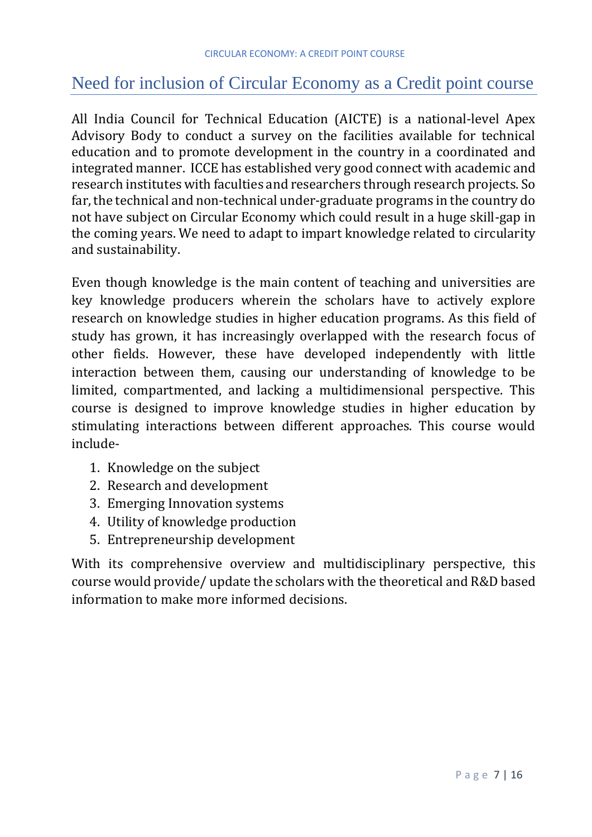# Need for inclusion of Circular Economy as a Credit point course

All India Council for Technical Education (AICTE) is a national-level Apex Advisory Body to conduct a survey on the facilities available for technical education and to promote development in the country in a coordinated and integrated manner. ICCE has established very good connect with academic and research institutes with faculties and researchers through research projects. So far, the technical and non-technical under-graduate programs in the country do not have subject on Circular Economy which could result in a huge skill-gap in the coming years. We need to adapt to impart knowledge related to circularity and sustainability.

Even though knowledge is the main content of teaching and universities are key knowledge producers wherein the scholars have to actively explore research on knowledge studies in higher education programs. As this field of study has grown, it has increasingly overlapped with the research focus of other fields. However, these have developed independently with little interaction between them, causing our understanding of knowledge to be limited, compartmented, and lacking a multidimensional perspective. This course is designed to improve knowledge studies in higher education by stimulating interactions between different approaches. This course would include-

- 1. Knowledge on the subject
- 2. Research and development
- 3. Emerging Innovation systems
- 4. Utility of knowledge production
- 5. Entrepreneurship development

With its comprehensive overview and multidisciplinary perspective, this course would provide/ update the scholars with the theoretical and R&D based information to make more informed decisions.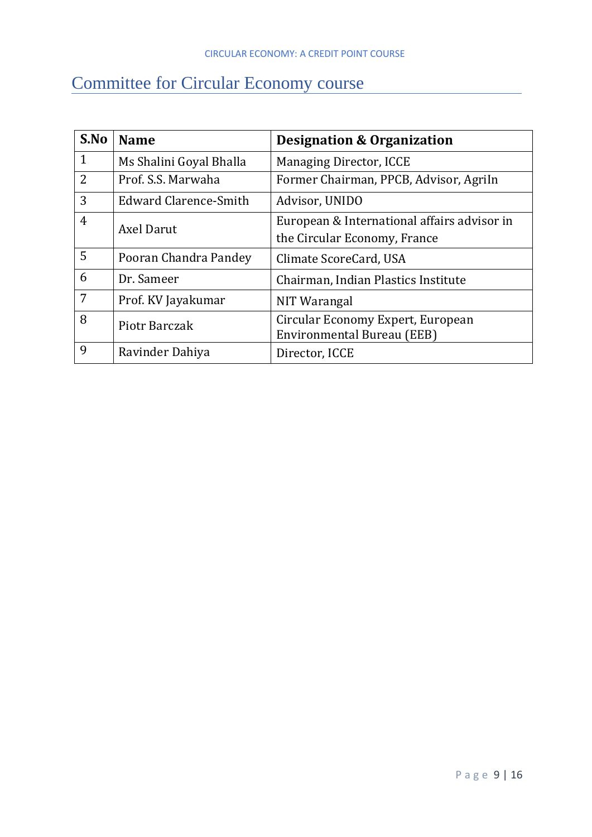# Committee for Circular Economy course

| S.No           | <b>Designation &amp; Organization</b><br><b>Name</b>         |                                             |  |
|----------------|--------------------------------------------------------------|---------------------------------------------|--|
| $\mathbf{1}$   | Ms Shalini Goyal Bhalla                                      | Managing Director, ICCE                     |  |
| $\overline{2}$ | Former Chairman, PPCB, Advisor, Agriln<br>Prof. S.S. Marwaha |                                             |  |
| 3              | <b>Edward Clarence-Smith</b><br>Advisor, UNIDO               |                                             |  |
| $\overline{4}$ | Axel Darut                                                   | European & International affairs advisor in |  |
|                |                                                              | the Circular Economy, France                |  |
| 5              | Pooran Chandra Pandey<br>Climate ScoreCard, USA              |                                             |  |
| 6              | Dr. Sameer<br>Chairman, Indian Plastics Institute            |                                             |  |
| 7              | Prof. KV Jayakumar<br>NIT Warangal                           |                                             |  |
| 8              | Piotr Barczak                                                | Circular Economy Expert, European           |  |
|                |                                                              | Environmental Bureau (EEB)                  |  |
| 9              | Ravinder Dahiya                                              | Director, ICCE                              |  |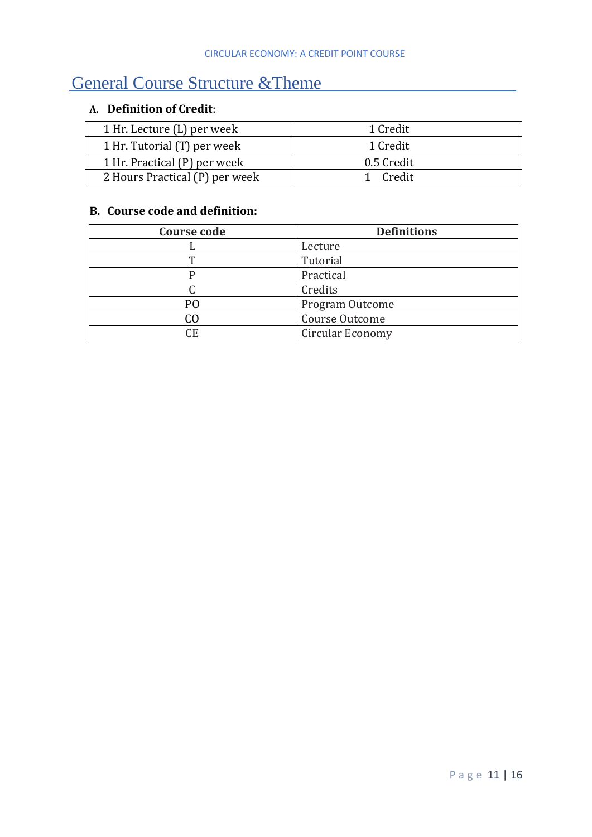# General Course Structure &Theme

### **A. Definition of Credit**:

| 1 Hr. Lecture (L) per week     | 1 Credit   |
|--------------------------------|------------|
| 1 Hr. Tutorial (T) per week    | 1 Credit   |
| 1 Hr. Practical (P) per week   | 0.5 Credit |
| 2 Hours Practical (P) per week | 1 Credit   |

#### **B. Course code and definition:**

| Course code | <b>Definitions</b> |
|-------------|--------------------|
|             | Lecture            |
| ௱           | Tutorial           |
|             | Practical          |
|             | Credits            |
| PO          | Program Outcome    |
| CO          | Course Outcome     |
| СE          | Circular Economy   |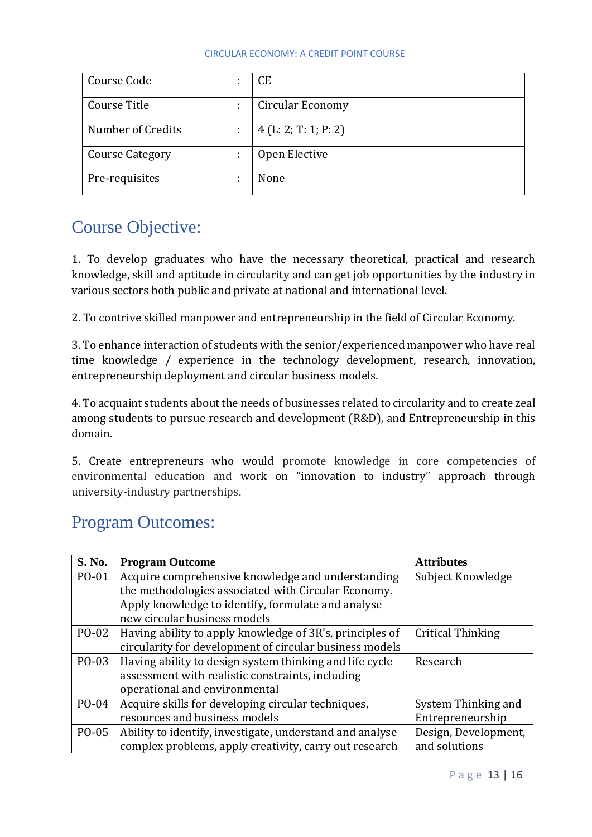| Course Code            |                | CE                  |
|------------------------|----------------|---------------------|
| Course Title           | $\bullet$<br>٠ | Circular Economy    |
| Number of Credits      |                | 4(L: 2; T: 1; P: 2) |
| <b>Course Category</b> |                | Open Elective       |
| Pre-requisites         |                | None                |

# Course Objective:

1. To develop graduates who have the necessary theoretical, practical and research knowledge, skill and aptitude in circularity and can get job opportunities by the industry in various sectors both public and private at national and international level.

2. To contrive skilled manpower and entrepreneurship in the field of Circular Economy.

3. To enhance interaction of students with the senior/experienced manpower who have real time knowledge / experience in the technology development, research, innovation, entrepreneurship deployment and circular business models.

4. To acquaint students about the needs of businesses related to circularity and to create zeal among students to pursue research and development (R&D), and Entrepreneurship in this domain.

5. Create entrepreneurs who would promote knowledge in core competencies of environmental education and work on "innovation to industry" approach through university-industry partnerships.

# Program Outcomes:

| S. No. | <b>Program Outcome</b>                                   | <b>Attributes</b>    |
|--------|----------------------------------------------------------|----------------------|
| PO-01  | Acquire comprehensive knowledge and understanding        | Subject Knowledge    |
|        | the methodologies associated with Circular Economy.      |                      |
|        | Apply knowledge to identify, formulate and analyse       |                      |
|        | new circular business models                             |                      |
| PO-02  | Having ability to apply knowledge of 3R's, principles of | Critical Thinking    |
|        | circularity for development of circular business models  |                      |
| PO-03  | Having ability to design system thinking and life cycle  | Research             |
|        | assessment with realistic constraints, including         |                      |
|        | operational and environmental                            |                      |
| PO-04  | Acquire skills for developing circular techniques,       | System Thinking and  |
|        | resources and business models                            | Entrepreneurship     |
| PO-05  | Ability to identify, investigate, understand and analyse | Design, Development, |
|        | complex problems, apply creativity, carry out research   | and solutions        |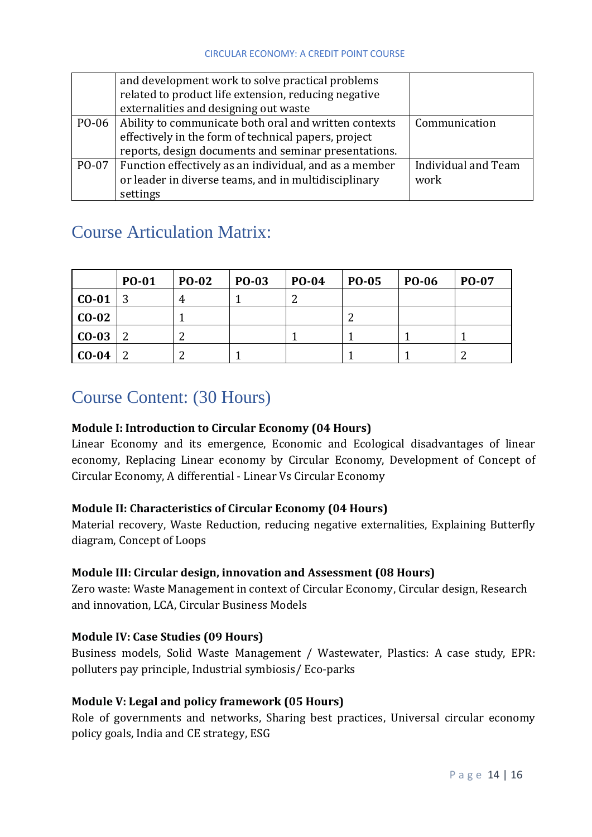|       | and development work to solve practical problems<br>related to product life extension, reducing negative<br>externalities and designing out waste                     |                             |
|-------|-----------------------------------------------------------------------------------------------------------------------------------------------------------------------|-----------------------------|
| PO-06 | Ability to communicate both oral and written contexts<br>effectively in the form of technical papers, project<br>reports, design documents and seminar presentations. | Communication               |
| PO-07 | Function effectively as an individual, and as a member<br>or leader in diverse teams, and in multidisciplinary<br>settings                                            | Individual and Team<br>work |

# Course Articulation Matrix:

|         | <b>PO-01</b> | <b>PO-02</b> | <b>PO-03</b> | <b>PO-04</b> | <b>PO-05</b> | <b>PO-06</b> | PO-07 |
|---------|--------------|--------------|--------------|--------------|--------------|--------------|-------|
| $CO-01$ |              | 4            |              |              |              |              |       |
| $CO-02$ |              |              |              |              | ◠            |              |       |
| $CO-03$ |              |              |              |              |              |              |       |
| $CO-04$ |              |              |              |              |              |              | ◠     |

### Course Content: (30 Hours)

### **Module I: Introduction to Circular Economy (04 Hours)**

Linear Economy and its emergence, Economic and Ecological disadvantages of linear economy, Replacing Linear economy by Circular Economy, Development of Concept of Circular Economy, A differential - Linear Vs Circular Economy

### **Module II: Characteristics of Circular Economy (04 Hours)**

Material recovery, Waste Reduction, reducing negative externalities, Explaining Butterfly diagram, Concept of Loops

### **Module III: Circular design, innovation and Assessment (08 Hours)**

Zero waste: Waste Management in context of Circular Economy, Circular design, Research and innovation, LCA, Circular Business Models

### **Module IV: Case Studies (09 Hours)**

Business models, Solid Waste Management / Wastewater, Plastics: A case study, EPR: polluters pay principle, Industrial symbiosis/ Eco-parks

### **Module V: Legal and policy framework (05 Hours)**

Role of governments and networks, Sharing best practices, Universal circular economy policy goals, India and CE strategy, ESG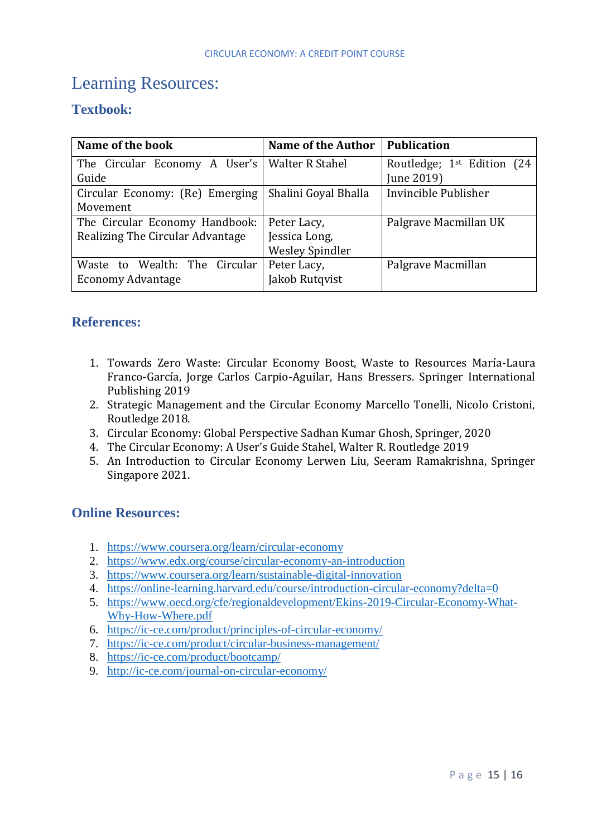# <span id="page-14-0"></span>Learning Resources:

### **Textbook:**

| Name of the book                                | <b>Name of the Author</b> | <b>Publication</b>                     |
|-------------------------------------------------|---------------------------|----------------------------------------|
| The Circular Economy A User's   Walter R Stahel |                           | Routledge; 1 <sup>st</sup> Edition (24 |
| Guide                                           |                           | June 2019)                             |
| Circular Economy: (Re) Emerging                 | Shalini Goyal Bhalla      | Invincible Publisher                   |
| Movement                                        |                           |                                        |
| The Circular Economy Handbook:                  | Peter Lacy,               | Palgrave Macmillan UK                  |
| Realizing The Circular Advantage                | Jessica Long,             |                                        |
|                                                 | <b>Wesley Spindler</b>    |                                        |
| Waste to Wealth: The Circular                   | Peter Lacy,               | Palgrave Macmillan                     |
| <b>Economy Advantage</b>                        | Jakob Rutqvist            |                                        |

### <span id="page-14-1"></span>**References:**

- 1. Towards Zero Waste: Circular Economy Boost, Waste to Resources María-Laura Franco-García, Jorge Carlos Carpio-Aguilar, Hans Bressers. Springer International Publishing 2019
- 2. Strategic Management and the Circular Economy Marcello Tonelli, Nicolo Cristoni, Routledge 2018.
- 3. Circular Economy: Global Perspective Sadhan Kumar Ghosh, Springer, 2020
- 4. The Circular Economy: A User's Guide Stahel, Walter R. Routledge 2019
- 5. An Introduction to Circular Economy Lerwen Liu, Seeram Ramakrishna, Springer Singapore 2021.

### <span id="page-14-2"></span>**Online Resources:**

- 1. <https://www.coursera.org/learn/circular-economy>
- 2. <https://www.edx.org/course/circular-economy-an-introduction>
- 3. <https://www.coursera.org/learn/sustainable-digital-innovation>
- 4. <https://online-learning.harvard.edu/course/introduction-circular-economy?delta=0>
- 5. [https://www.oecd.org/cfe/regionaldevelopment/Ekins-2019-Circular-Economy-What-](https://www.oecd.org/cfe/regionaldevelopment/Ekins-2019-Circular-Economy-What-Why-How-Where.pdf)[Why-How-Where.pdf](https://www.oecd.org/cfe/regionaldevelopment/Ekins-2019-Circular-Economy-What-Why-How-Where.pdf)
- 6. <https://ic-ce.com/product/principles-of-circular-economy/>
- 7. <https://ic-ce.com/product/circular-business-management/>
- 8. <https://ic-ce.com/product/bootcamp/>
- 9. <http://ic-ce.com/journal-on-circular-economy/>